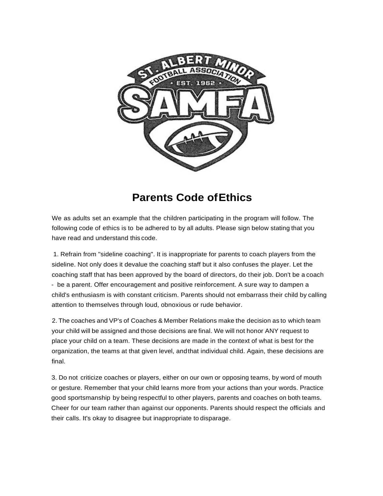

## **Parents Code ofEthics**

We as adults set an example that the children participating in the program will follow. The following code of ethics is to be adhered to by all adults. Please sign below stating that you have read and understand this code.

1. Refrain from "sideline coaching". It is inappropriate for parents to coach players from the sideline. Not only does it devalue the coaching staff but it also confuses the player. Let the coaching staff that has been approved by the board of directors, do their job. Don't be a coach - be a parent. Offer encouragement and positive reinforcement. A sure way to dampen a child's enthusiasm is with constant criticism. Parents should not embarrass their child by calling attention to themselves through loud, obnoxious or rude behavior.

2. The coaches and VP's of Coaches & Member Relations make the decision as to which team your child will be assigned and those decisions are final. We will not honor ANY request to place your child on a team. These decisions are made in the context of what is best for the organization, the teams at that given level, andthat individual child. Again, these decisions are final.

3. Do not criticize coaches or players, either on our own or opposing teams, by word of mouth or gesture. Remember that your child learns more from your actions than your words. Practice good sportsmanship by being respectful to other players, parents and coaches on both teams. Cheer for our team rather than against our opponents. Parents should respect the officials and their calls. It's okay to disagree but inappropriate to disparage.